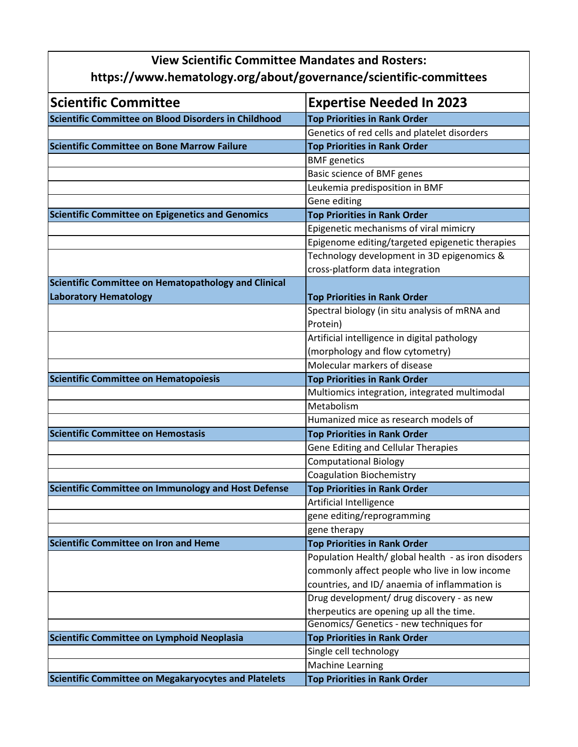| <b>View Scientific Committee Mandates and Rosters:</b><br>https://www.hematology.org/about/governance/scientific-committees |                                                     |
|-----------------------------------------------------------------------------------------------------------------------------|-----------------------------------------------------|
|                                                                                                                             |                                                     |
| Scientific Committee on Blood Disorders in Childhood                                                                        | <b>Top Priorities in Rank Order</b>                 |
|                                                                                                                             | Genetics of red cells and platelet disorders        |
| Scientific Committee on Bone Marrow Failure                                                                                 | <b>Top Priorities in Rank Order</b>                 |
|                                                                                                                             | <b>BMF</b> genetics                                 |
|                                                                                                                             | Basic science of BMF genes                          |
|                                                                                                                             | Leukemia predisposition in BMF                      |
|                                                                                                                             | Gene editing                                        |
| <b>Scientific Committee on Epigenetics and Genomics</b>                                                                     | <b>Top Priorities in Rank Order</b>                 |
|                                                                                                                             | Epigenetic mechanisms of viral mimicry              |
|                                                                                                                             | Epigenome editing/targeted epigenetic therapies     |
|                                                                                                                             | Technology development in 3D epigenomics &          |
|                                                                                                                             | cross-platform data integration                     |
| Scientific Committee on Hematopathology and Clinical                                                                        |                                                     |
| <b>Laboratory Hematology</b>                                                                                                | <b>Top Priorities in Rank Order</b>                 |
|                                                                                                                             | Spectral biology (in situ analysis of mRNA and      |
|                                                                                                                             | Protein)                                            |
|                                                                                                                             | Artificial intelligence in digital pathology        |
|                                                                                                                             | (morphology and flow cytometry)                     |
|                                                                                                                             | Molecular markers of disease                        |
| <b>Scientific Committee on Hematopoiesis</b>                                                                                | <b>Top Priorities in Rank Order</b>                 |
|                                                                                                                             | Multiomics integration, integrated multimodal       |
|                                                                                                                             | Metabolism                                          |
|                                                                                                                             | Humanized mice as research models of                |
| <b>Scientific Committee on Hemostasis</b>                                                                                   | <b>Top Priorities in Rank Order</b>                 |
|                                                                                                                             | <b>Gene Editing and Cellular Therapies</b>          |
|                                                                                                                             | <b>Computational Biology</b>                        |
|                                                                                                                             | <b>Coagulation Biochemistry</b>                     |
| Scientific Committee on Immunology and Host Defense                                                                         | <b>Top Priorities in Rank Order</b>                 |
|                                                                                                                             | Artificial Intelligence                             |
|                                                                                                                             | gene editing/reprogramming                          |
|                                                                                                                             | gene therapy                                        |
| <b>Scientific Committee on Iron and Heme</b>                                                                                | <b>Top Priorities in Rank Order</b>                 |
|                                                                                                                             | Population Health/ global health - as iron disoders |
|                                                                                                                             | commonly affect people who live in low income       |
|                                                                                                                             | countries, and ID/ anaemia of inflammation is       |
|                                                                                                                             | Drug development/ drug discovery - as new           |
|                                                                                                                             | therpeutics are opening up all the time.            |
|                                                                                                                             | Genomics/ Genetics - new techniques for             |
| Scientific Committee on Lymphoid Neoplasia                                                                                  | <b>Top Priorities in Rank Order</b>                 |
|                                                                                                                             | Single cell technology                              |
|                                                                                                                             | <b>Machine Learning</b>                             |
| <b>Scientific Committee on Megakaryocytes and Platelets</b>                                                                 | <b>Top Priorities in Rank Order</b>                 |